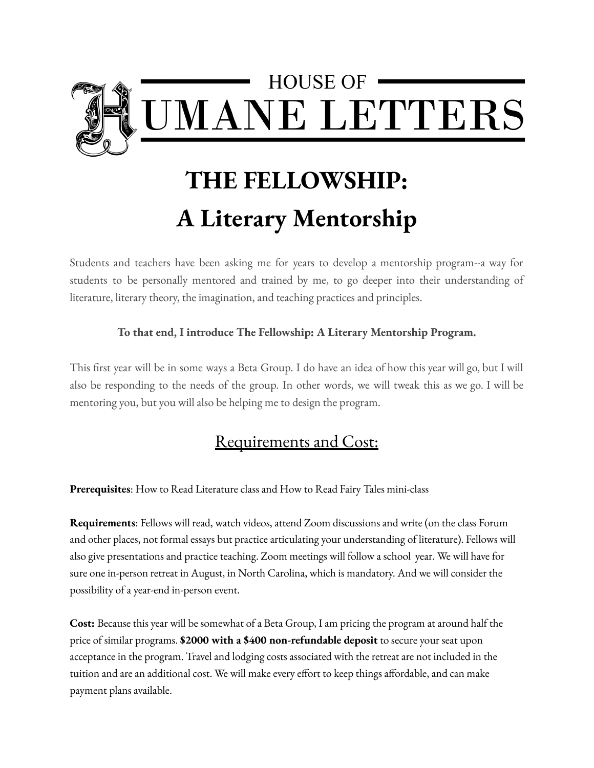

## **THE FELLOWSHIP: A Literary Mentorship**

Students and teachers have been asking me for years to develop a mentorship program--a way for students to be personally mentored and trained by me, to go deeper into their understanding of literature, literary theory, the imagination, and teaching practices and principles.

## **To that end, I introduce The Fellowship: A Literary Mentorship Program.**

This first year will be in some ways a Beta Group. I do have an idea of how this year will go, but I will also be responding to the needs of the group. In other words, we will tweak this as we go. I will be mentoring you, but you will also be helping me to design the program.

## Requirements and Cost:

**Prerequisites**: How to Read Literature class and How to Read Fairy Tales mini-class

**Requirements**: Fellows will read, watch videos, attend Zoom discussions and write (on the class Forum and other places, not formal essays but practice articulating your understanding of literature). Fellows will also give presentations and practice teaching. Zoom meetings will follow a school year. We will have for sure one in-person retreat in August, in North Carolina, which is mandatory. And we will consider the possibility of a year-end in-person event.

**Cost:** Because this year will be somewhat of a Beta Group, I am pricing the program at around half the price of similar programs. **\$2000 with a \$400 non-refundable deposit** to secure your seat upon acceptance in the program. Travel and lodging costs associated with the retreat are not included in the tuition and are an additional cost. We will make every effort to keep things affordable, and can make payment plans available.